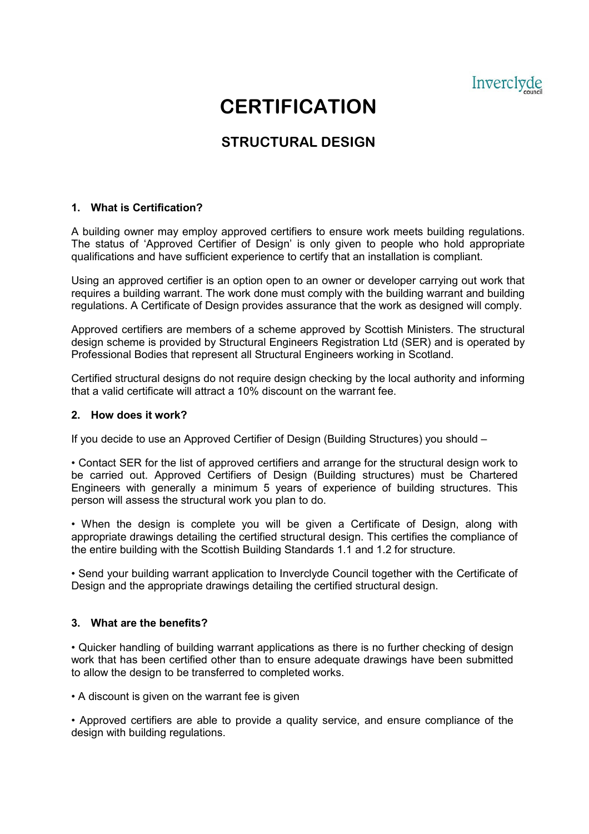Inverclyde

# **CERTIFICATION**

# **STRUCTURAL DESIGN**

### 1. What is Certification?

A building owner may employ approved certifiers to ensure work meets building regulations. The status of 'Approved Certifier of Design' is only given to people who hold appropriate qualifications and have sufficient experience to certify that an installation is compliant.

Using an approved certifier is an option open to an owner or developer carrying out work that requires a building warrant. The work done must comply with the building warrant and building regulations. A Certificate of Design provides assurance that the work as designed will comply.

Approved certifiers are members of a scheme approved by Scottish Ministers. The structural design scheme is provided by Structural Engineers Registration Ltd (SER) and is operated by Professional Bodies that represent all Structural Engineers working in Scotland.

Certified structural designs do not require design checking by the local authority and informing that a valid certificate will attract a 10% discount on the warrant fee.

#### 2. How does it work?

If you decide to use an Approved Certifier of Design (Building Structures) you should –

• Contact SER for the list of approved certifiers and arrange for the structural design work to be carried out. Approved Certifiers of Design (Building structures) must be Chartered Engineers with generally a minimum 5 years of experience of building structures. This person will assess the structural work you plan to do.

• When the design is complete you will be given a Certificate of Design, along with appropriate drawings detailing the certified structural design. This certifies the compliance of the entire building with the Scottish Building Standards 1.1 and 1.2 for structure.

• Send your building warrant application to Inverclyde Council together with the Certificate of Design and the appropriate drawings detailing the certified structural design.

#### 3. What are the benefits?

• Quicker handling of building warrant applications as there is no further checking of design work that has been certified other than to ensure adequate drawings have been submitted to allow the design to be transferred to completed works.

• A discount is given on the warrant fee is given

• Approved certifiers are able to provide a quality service, and ensure compliance of the design with building regulations.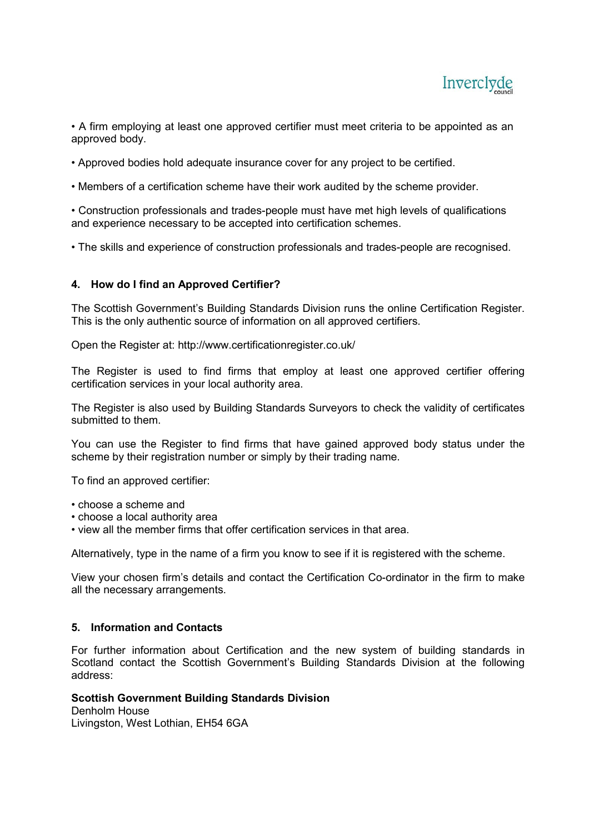

• A firm employing at least one approved certifier must meet criteria to be appointed as an approved body.

- Approved bodies hold adequate insurance cover for any project to be certified.
- Members of a certification scheme have their work audited by the scheme provider.

 • Construction professionals and trades-people must have met high levels of qualifications and experience necessary to be accepted into certification schemes.

• The skills and experience of construction professionals and trades-people are recognised.

#### 4. How do I find an Approved Certifier?

The Scottish Government's Building Standards Division runs the online Certification Register. This is the only authentic source of information on all approved certifiers.

Open the Register at: http://www.certificationregister.co.uk/

The Register is used to find firms that employ at least one approved certifier offering certification services in your local authority area.

The Register is also used by Building Standards Surveyors to check the validity of certificates submitted to them.

You can use the Register to find firms that have gained approved body status under the scheme by their registration number or simply by their trading name.

To find an approved certifier:

- choose a scheme and
- choose a local authority area
- view all the member firms that offer certification services in that area.

Alternatively, type in the name of a firm you know to see if it is registered with the scheme.

View your chosen firm's details and contact the Certification Co-ordinator in the firm to make all the necessary arrangements.

#### 5. Information and Contacts

For further information about Certification and the new system of building standards in Scotland contact the Scottish Government's Building Standards Division at the following address:

## Scottish Government Building Standards Division

Denholm House Livingston, West Lothian, EH54 6GA